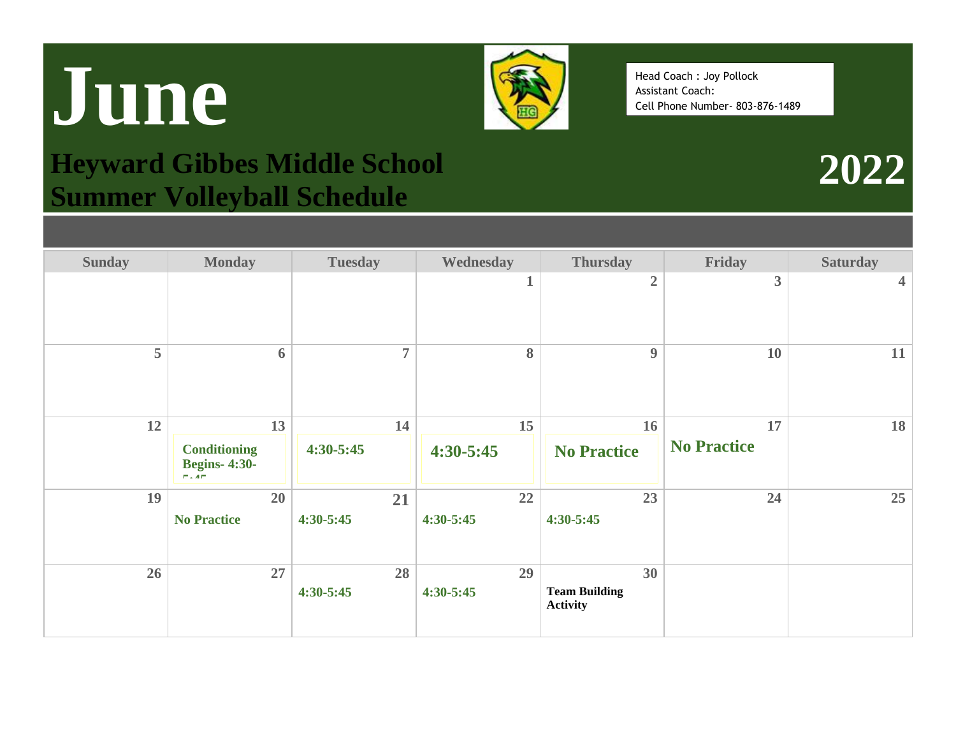## **June**



Head Coach : Joy Pollock Assistant Coach: Cell Phone Number- 803-876-1489

**2022**

## **Heyward Gibbes Middle School Summer Volleyball Schedule**

| <b>Sunday</b> | <b>Monday</b>                                      | <b>Tuesday</b> | Wednesday   | <b>Thursday</b>                         | Friday             | <b>Saturday</b>         |
|---------------|----------------------------------------------------|----------------|-------------|-----------------------------------------|--------------------|-------------------------|
|               |                                                    |                | 1           | $\overline{2}$                          | 3                  | $\overline{\mathbf{4}}$ |
| 5             | 6                                                  | $\overline{7}$ | 8           | $\boldsymbol{9}$                        | <b>10</b>          | 11                      |
| 12            | 13                                                 | 14             | 15          | 16                                      | 17                 | 18                      |
|               | <b>Conditioning</b><br><b>Begins-4:30-</b><br>F:AF | $4:30 - 5:45$  | $4:30-5:45$ | <b>No Practice</b>                      | <b>No Practice</b> |                         |
| 19            | 20                                                 | 21             | 22          | 23                                      | 24                 | 25                      |
|               | <b>No Practice</b>                                 | 4:30-5:45      | $4:30-5:45$ | $4:30 - 5:45$                           |                    |                         |
| 26            | 27                                                 | 28             | 29          | 30                                      |                    |                         |
|               |                                                    | 4:30-5:45      | $4:30-5:45$ | <b>Team Building</b><br><b>Activity</b> |                    |                         |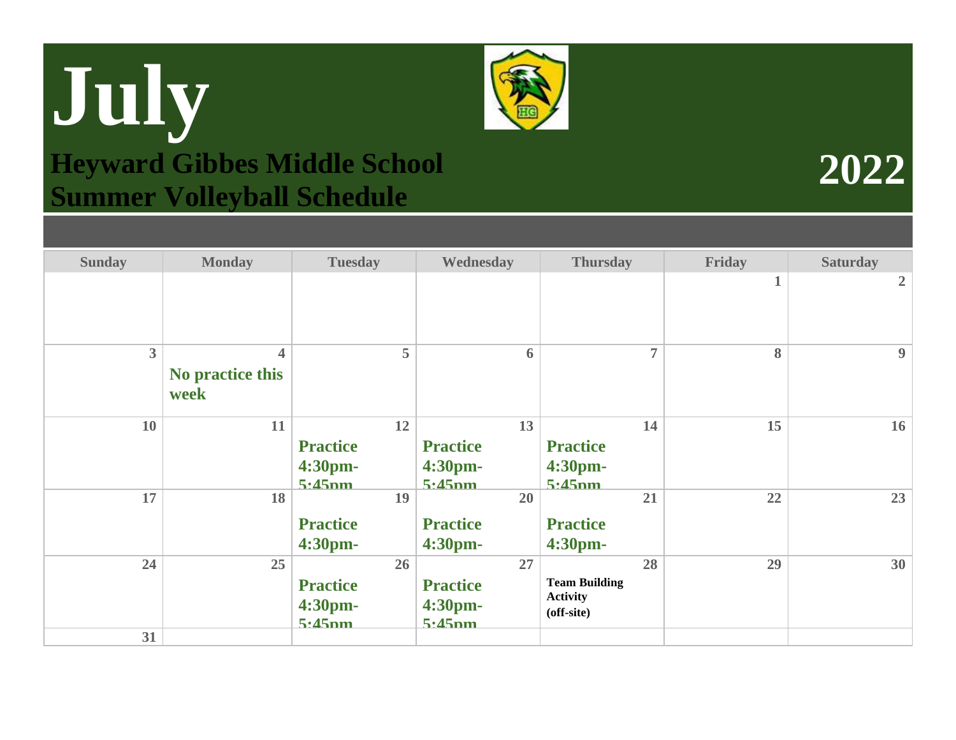## **July Heyward Gibbes Middle School Summer Volleyball Schedule**

| <b>Sunday</b>  | <b>Monday</b>                                       | <b>Tuesday</b>                             | Wednesday                                  | <b>Thursday</b>                                             | Friday | <b>Saturday</b>  |
|----------------|-----------------------------------------------------|--------------------------------------------|--------------------------------------------|-------------------------------------------------------------|--------|------------------|
|                |                                                     |                                            |                                            |                                                             |        | $\overline{2}$   |
| $\overline{3}$ | $\overline{\mathbf{4}}$<br>No practice this<br>week | 5                                          | 6                                          | $\overline{7}$                                              | 8      | $\boldsymbol{9}$ |
| 10             | 11                                                  | 12<br><b>Practice</b><br>4:30pm-<br>5.45nm | 13<br><b>Practice</b><br>4:30pm-<br>5.45nm | 14<br><b>Practice</b><br>4:30pm-<br>5.45nm                  | 15     | 16               |
| 17             | 18                                                  | 19<br><b>Practice</b><br>4:30pm-           | 20<br><b>Practice</b><br>4:30pm-           | 21<br><b>Practice</b><br>4:30pm-                            | 22     | 23               |
| 24<br>31       | 25                                                  | 26<br><b>Practice</b><br>4:30pm-<br>5.45nm | 27<br><b>Practice</b><br>4:30pm-<br>5.45nm | 28<br><b>Team Building</b><br><b>Activity</b><br>(off-site) | 29     | 30               |
|                |                                                     |                                            |                                            |                                                             |        |                  |

**2022**